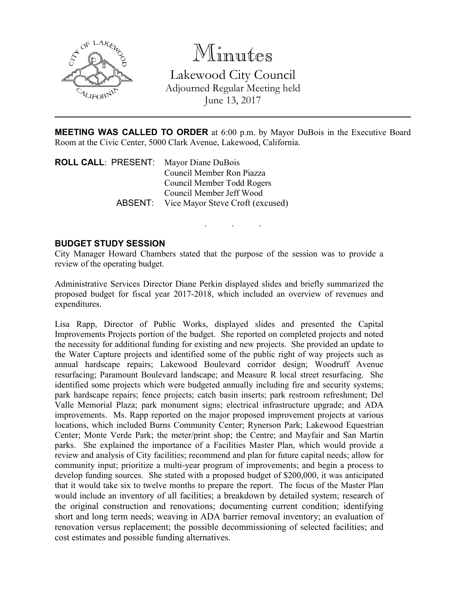

# Minutes

Lakewood City Council Adjourned Regular Meeting held June 13, 2017

MEETING WAS CALLED TO ORDER at 6:00 p.m. by Mayor DuBois in the Executive Board Room at the Civic Center, 5000 Clark Avenue, Lakewood, California.

. . .

ROLL CALL: PRESENT: Mayor Diane DuBois Council Member Ron Piazza Council Member Todd Rogers Council Member Jeff Wood ABSENT: Vice Mayor Steve Croft (excused)

### BUDGET STUDY SESSION

City Manager Howard Chambers stated that the purpose of the session was to provide a review of the operating budget.

Administrative Services Director Diane Perkin displayed slides and briefly summarized the proposed budget for fiscal year 2017-2018, which included an overview of revenues and expenditures.

Lisa Rapp, Director of Public Works, displayed slides and presented the Capital Improvements Projects portion of the budget. She reported on completed projects and noted the necessity for additional funding for existing and new projects. She provided an update to the Water Capture projects and identified some of the public right of way projects such as annual hardscape repairs; Lakewood Boulevard corridor design; Woodruff Avenue resurfacing; Paramount Boulevard landscape; and Measure R local street resurfacing. She identified some projects which were budgeted annually including fire and security systems; park hardscape repairs; fence projects; catch basin inserts; park restroom refreshment; Del Valle Memorial Plaza; park monument signs; electrical infrastructure upgrade; and ADA improvements. Ms. Rapp reported on the major proposed improvement projects at various locations, which included Burns Community Center; Rynerson Park; Lakewood Equestrian Center; Monte Verde Park; the meter/print shop; the Centre; and Mayfair and San Martin parks. She explained the importance of a Facilities Master Plan, which would provide a review and analysis of City facilities; recommend and plan for future capital needs; allow for community input; prioritize a multi-year program of improvements; and begin a process to develop funding sources. She stated with a proposed budget of \$200,000, it was anticipated that it would take six to twelve months to prepare the report. The focus of the Master Plan would include an inventory of all facilities; a breakdown by detailed system; research of the original construction and renovations; documenting current condition; identifying short and long term needs; weaving in ADA barrier removal inventory; an evaluation of renovation versus replacement; the possible decommissioning of selected facilities; and cost estimates and possible funding alternatives.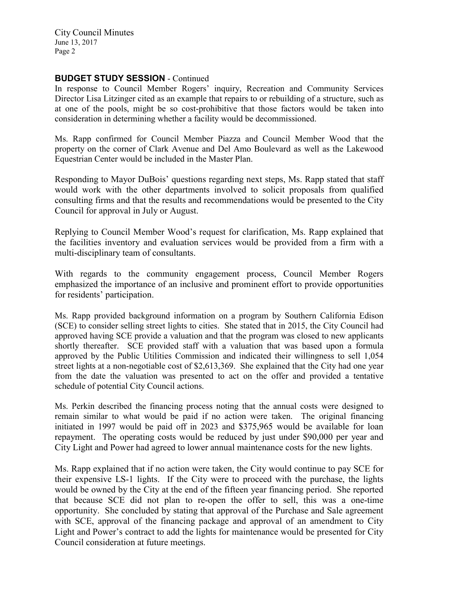City Council Minutes June 13, 2017 Page 2

### BUDGET STUDY SESSION - Continued

In response to Council Member Rogers' inquiry, Recreation and Community Services Director Lisa Litzinger cited as an example that repairs to or rebuilding of a structure, such as at one of the pools, might be so cost-prohibitive that those factors would be taken into consideration in determining whether a facility would be decommissioned.

Ms. Rapp confirmed for Council Member Piazza and Council Member Wood that the property on the corner of Clark Avenue and Del Amo Boulevard as well as the Lakewood Equestrian Center would be included in the Master Plan.

Responding to Mayor DuBois' questions regarding next steps, Ms. Rapp stated that staff would work with the other departments involved to solicit proposals from qualified consulting firms and that the results and recommendations would be presented to the City Council for approval in July or August.

Replying to Council Member Wood's request for clarification, Ms. Rapp explained that the facilities inventory and evaluation services would be provided from a firm with a multi-disciplinary team of consultants.

With regards to the community engagement process, Council Member Rogers emphasized the importance of an inclusive and prominent effort to provide opportunities for residents' participation.

Ms. Rapp provided background information on a program by Southern California Edison (SCE) to consider selling street lights to cities. She stated that in 2015, the City Council had approved having SCE provide a valuation and that the program was closed to new applicants shortly thereafter. SCE provided staff with a valuation that was based upon a formula approved by the Public Utilities Commission and indicated their willingness to sell 1,054 street lights at a non-negotiable cost of \$2,613,369. She explained that the City had one year from the date the valuation was presented to act on the offer and provided a tentative schedule of potential City Council actions.

Ms. Perkin described the financing process noting that the annual costs were designed to remain similar to what would be paid if no action were taken. The original financing initiated in 1997 would be paid off in 2023 and \$375,965 would be available for loan repayment. The operating costs would be reduced by just under \$90,000 per year and City Light and Power had agreed to lower annual maintenance costs for the new lights.

Ms. Rapp explained that if no action were taken, the City would continue to pay SCE for their expensive LS-1 lights. If the City were to proceed with the purchase, the lights would be owned by the City at the end of the fifteen year financing period. She reported that because SCE did not plan to re-open the offer to sell, this was a one-time opportunity. She concluded by stating that approval of the Purchase and Sale agreement with SCE, approval of the financing package and approval of an amendment to City Light and Power's contract to add the lights for maintenance would be presented for City Council consideration at future meetings.